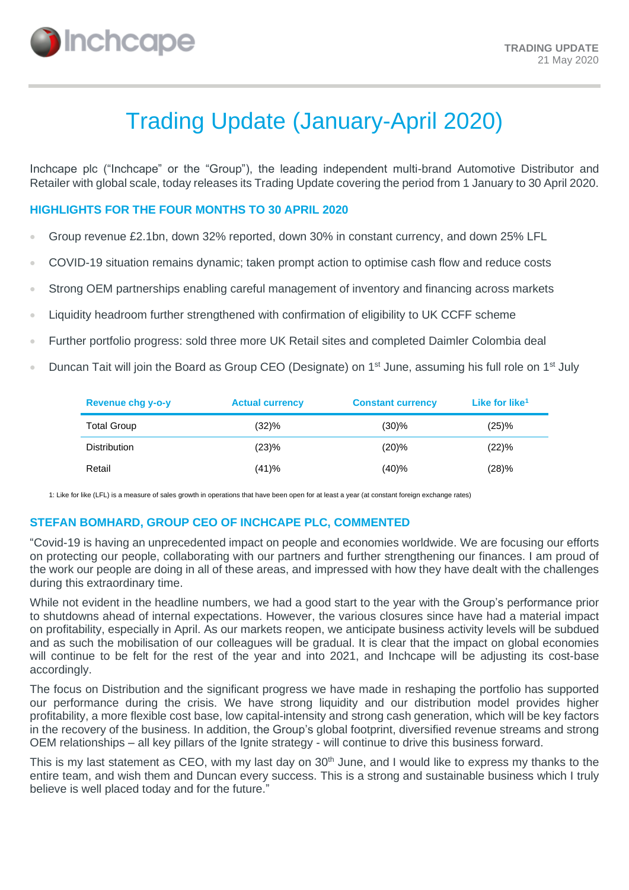

# Trading Update (January-April 2020)

Inchcape plc ("Inchcape" or the "Group"), the leading independent multi-brand Automotive Distributor and Retailer with global scale, today releases its Trading Update covering the period from 1 January to 30 April 2020.

#### **HIGHLIGHTS FOR THE FOUR MONTHS TO 30 APRIL 2020**

- Group revenue £2.1bn, down 32% reported, down 30% in constant currency, and down 25% LFL
- COVID-19 situation remains dynamic; taken prompt action to optimise cash flow and reduce costs
- Strong OEM partnerships enabling careful management of inventory and financing across markets
- Liquidity headroom further strengthened with confirmation of eligibility to UK CCFF scheme
- Further portfolio progress: sold three more UK Retail sites and completed Daimler Colombia deal
- Duncan Tait will join the Board as Group CEO (Designate) on 1<sup>st</sup> June, assuming his full role on 1<sup>st</sup> July

| Revenue chg y-o-y   | <b>Actual currency</b> | <b>Constant currency</b> | Like for like <sup>1</sup> |
|---------------------|------------------------|--------------------------|----------------------------|
| <b>Total Group</b>  | (32)%                  | $(30)$ %                 | (25)%                      |
| <b>Distribution</b> | (23)%                  | (20)%                    | (22)%                      |
| Retail              | (41)%                  | (40)%                    | (28)%                      |

1: Like for like (LFL) is a measure of sales growth in operations that have been open for at least a year (at constant foreign exchange rates)

#### **STEFAN BOMHARD, GROUP CEO OF INCHCAPE PLC, COMMENTED**

"Covid-19 is having an unprecedented impact on people and economies worldwide. We are focusing our efforts on protecting our people, collaborating with our partners and further strengthening our finances. I am proud of the work our people are doing in all of these areas, and impressed with how they have dealt with the challenges during this extraordinary time.

While not evident in the headline numbers, we had a good start to the year with the Group's performance prior to shutdowns ahead of internal expectations. However, the various closures since have had a material impact on profitability, especially in April. As our markets reopen, we anticipate business activity levels will be subdued and as such the mobilisation of our colleagues will be gradual. It is clear that the impact on global economies will continue to be felt for the rest of the year and into 2021, and Inchcape will be adjusting its cost-base accordingly.

The focus on Distribution and the significant progress we have made in reshaping the portfolio has supported our performance during the crisis. We have strong liquidity and our distribution model provides higher profitability, a more flexible cost base, low capital-intensity and strong cash generation, which will be key factors in the recovery of the business. In addition, the Group's global footprint, diversified revenue streams and strong OEM relationships – all key pillars of the Ignite strategy - will continue to drive this business forward.

This is my last statement as CEO, with my last day on 30<sup>th</sup> June, and I would like to express my thanks to the entire team, and wish them and Duncan every success. This is a strong and sustainable business which I truly believe is well placed today and for the future."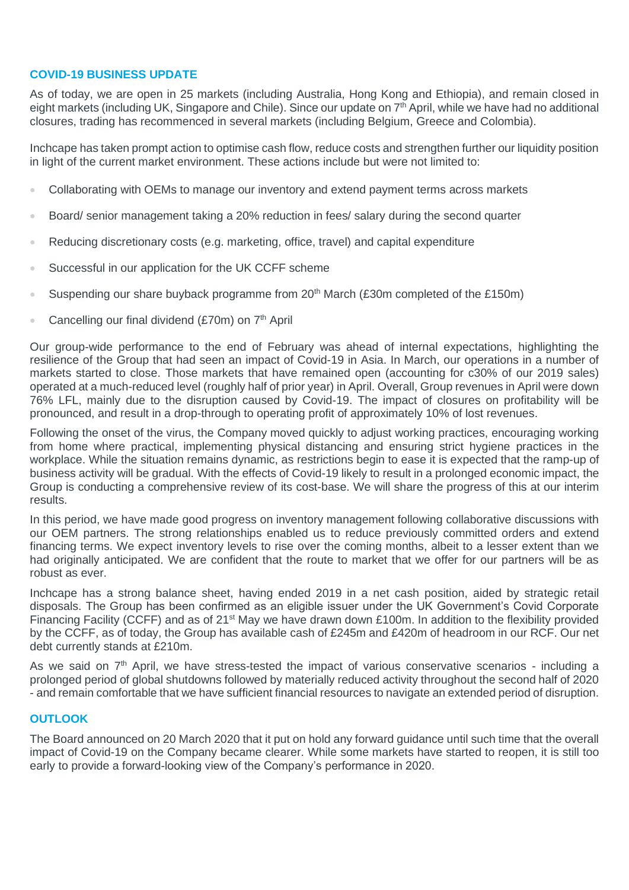# **COVID-19 BUSINESS UPDATE**

As of today, we are open in 25 markets (including Australia, Hong Kong and Ethiopia), and remain closed in eight markets (including UK, Singapore and Chile). Since our update on 7<sup>th</sup> April, while we have had no additional closures, trading has recommenced in several markets (including Belgium, Greece and Colombia).

Inchcape has taken prompt action to optimise cash flow, reduce costs and strengthen further our liquidity position in light of the current market environment. These actions include but were not limited to:

- Collaborating with OEMs to manage our inventory and extend payment terms across markets
- Board/ senior management taking a 20% reduction in fees/ salary during the second quarter
- Reducing discretionary costs (e.g. marketing, office, travel) and capital expenditure
- Successful in our application for the UK CCFF scheme
- Suspending our share buyback programme from  $20<sup>th</sup>$  March (£30m completed of the £150m)
- Cancelling our final dividend (£70m) on 7<sup>th</sup> April

Our group-wide performance to the end of February was ahead of internal expectations, highlighting the resilience of the Group that had seen an impact of Covid-19 in Asia. In March, our operations in a number of markets started to close. Those markets that have remained open (accounting for c30% of our 2019 sales) operated at a much-reduced level (roughly half of prior year) in April. Overall, Group revenues in April were down 76% LFL, mainly due to the disruption caused by Covid-19. The impact of closures on profitability will be pronounced, and result in a drop-through to operating profit of approximately 10% of lost revenues.

Following the onset of the virus, the Company moved quickly to adjust working practices, encouraging working from home where practical, implementing physical distancing and ensuring strict hygiene practices in the workplace. While the situation remains dynamic, as restrictions begin to ease it is expected that the ramp-up of business activity will be gradual. With the effects of Covid-19 likely to result in a prolonged economic impact, the Group is conducting a comprehensive review of its cost-base. We will share the progress of this at our interim results.

In this period, we have made good progress on inventory management following collaborative discussions with our OEM partners. The strong relationships enabled us to reduce previously committed orders and extend financing terms. We expect inventory levels to rise over the coming months, albeit to a lesser extent than we had originally anticipated. We are confident that the route to market that we offer for our partners will be as robust as ever.

Inchcape has a strong balance sheet, having ended 2019 in a net cash position, aided by strategic retail disposals. The Group has been confirmed as an eligible issuer under the UK Government's Covid Corporate Financing Facility (CCFF) and as of 21st May we have drawn down £100m. In addition to the flexibility provided by the CCFF, as of today, the Group has available cash of £245m and £420m of headroom in our RCF. Our net debt currently stands at £210m.

As we said on  $7<sup>th</sup>$  April, we have stress-tested the impact of various conservative scenarios - including a prolonged period of global shutdowns followed by materially reduced activity throughout the second half of 2020 - and remain comfortable that we have sufficient financial resources to navigate an extended period of disruption.

#### **OUTLOOK**

The Board announced on 20 March 2020 that it put on hold any forward guidance until such time that the overall impact of Covid-19 on the Company became clearer. While some markets have started to reopen, it is still too early to provide a forward-looking view of the Company's performance in 2020.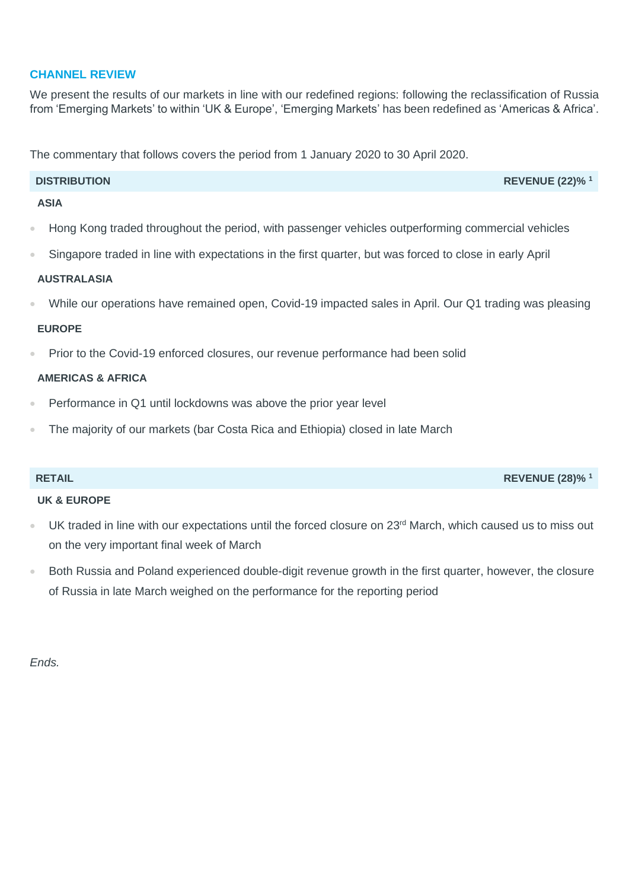# **CHANNEL REVIEW**

We present the results of our markets in line with our redefined regions: following the reclassification of Russia from 'Emerging Markets' to within 'UK & Europe', 'Emerging Markets' has been redefined as 'Americas & Africa'.

The commentary that follows covers the period from 1 January 2020 to 30 April 2020.

# **DISTRIBUTION REVENUE (22)% <sup>1</sup>**

# **ASIA**

- Hong Kong traded throughout the period, with passenger vehicles outperforming commercial vehicles
- Singapore traded in line with expectations in the first quarter, but was forced to close in early April

# **AUSTRALASIA**

• While our operations have remained open, Covid-19 impacted sales in April. Our Q1 trading was pleasing

### **EUROPE**

• Prior to the Covid-19 enforced closures, our revenue performance had been solid

# **AMERICAS & AFRICA**

- Performance in Q1 until lockdowns was above the prior year level
- The majority of our markets (bar Costa Rica and Ethiopia) closed in late March

# **UK & EUROPE**

- UK traded in line with our expectations until the forced closure on 23<sup>rd</sup> March, which caused us to miss out on the very important final week of March
- Both Russia and Poland experienced double-digit revenue growth in the first quarter, however, the closure of Russia in late March weighed on the performance for the reporting period

*Ends.*

# **RETAIL REVENUE (28)% <sup>1</sup>**